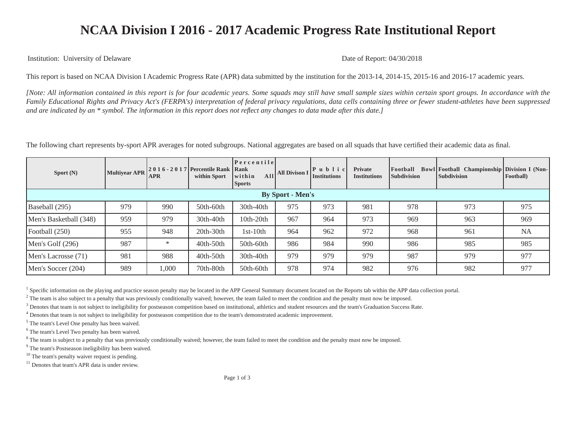## **NCAA Division I 2016 - 2017 Academic Progress Rate Institutional Report**

Institution: University of Delaware Date of Report: 04/30/2018

This report is based on NCAA Division I Academic Progress Rate (APR) data submitted by the institution for the 2013-14, 2014-15, 2015-16 and 2016-17 academic years.

*[Note: All information contained in this report is for four academic years. Some squads may still have small sample sizes within certain sport groups. In accordance with the Family Educational Rights and Privacy Act's (FERPA's) interpretation of federal privacy regulations, data cells containing three or fewer student-athletes have been suppressed and are indicated by an \* symbol. The information in this report does not reflect any changes to data made after this date.]*

The following chart represents by-sport APR averages for noted subgroups. National aggregates are based on all squads that have certified their academic data as final.

| Sport $(N)$             | <b>Multivear APR</b> | <b>APR</b> | 2016 - 2017   Percentile Rank   Rank<br>within Sport | Percentile<br>All<br>within<br><b>Sports</b> | <b>All Divison I</b> | $ P$ u b l i c<br>Institutions | <b>Private</b><br><b>Institutions</b> | Football<br><b>Subdivision</b> | <b>Bowl Football</b> Championship Division I (Non-<br><b>Subdivision</b> | <b>Football</b> |  |
|-------------------------|----------------------|------------|------------------------------------------------------|----------------------------------------------|----------------------|--------------------------------|---------------------------------------|--------------------------------|--------------------------------------------------------------------------|-----------------|--|
| <b>By Sport - Men's</b> |                      |            |                                                      |                                              |                      |                                |                                       |                                |                                                                          |                 |  |
| Baseball (295)          | 979                  | 990        | $50th-60th$                                          | 30th-40th                                    | 975                  | 973                            | 981                                   | 978                            | 973                                                                      | 975             |  |
| Men's Basketball (348)  | 959                  | 979        | 30th-40th                                            | 10th-20th                                    | 967                  | 964                            | 973                                   | 969                            | 963                                                                      | 969             |  |
| Football (250)          | 955                  | 948        | 20th-30th                                            | $1st-10th$                                   | 964                  | 962                            | 972                                   | 968                            | 961                                                                      | <b>NA</b>       |  |
| Men's Golf $(296)$      | 987                  | ∗          | 40th-50th                                            | $50th-60th$                                  | 986                  | 984                            | 990                                   | 986                            | 985                                                                      | 985             |  |
| Men's Lacrosse (71)     | 981                  | 988        | $40th-50th$                                          | 30th-40th                                    | 979                  | 979                            | 979                                   | 987                            | 979                                                                      | 977             |  |
| Men's Soccer (204)      | 989                  | 1,000      | 70th-80th                                            | 50th-60th                                    | 978                  | 974                            | 982                                   | 976                            | 982                                                                      | 977             |  |

<sup>1</sup> Specific information on the playing and practice season penalty may be located in the APP General Summary document located on the Reports tab within the APP data collection portal.

 $^2$  The team is also subject to a penalty that was previously conditionally waived; however, the team failed to meet the condition and the penalty must now be imposed.

<sup>3</sup> Denotes that team is not subject to ineligibility for postseason competition based on institutional, athletics and student resources and the team's Graduation Success Rate.

<sup>4</sup> Denotes that team is not subject to ineligibility for postseason competition due to the team's demonstrated academic improvement.

<sup>5</sup> The team's Level One penalty has been waived.

<sup>6</sup> The team's Level Two penalty has been waived.

<sup>8</sup> The team is subject to a penalty that was previously conditionally waived; however, the team failed to meet the condition and the penalty must now be imposed.

<sup>9</sup> The team's Postseason ineligibility has been waived.

<sup>10</sup> The team's penalty waiver request is pending.

<sup>11</sup> Denotes that team's APR data is under review.

Page 1 of 3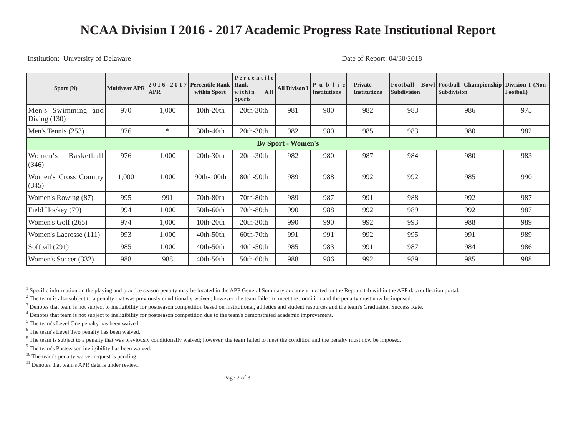## **NCAA Division I 2016 - 2017 Academic Progress Rate Institutional Report**

## Institution: University of Delaware Date of Report: 04/30/2018

| Sport (N)                            | <b>Multivear APR</b> | <b>APR</b> | 2016 - 2017 Percentile Rank<br>within Sport | Percentile<br>Rank<br>All<br>within<br><b>Sports</b> | <b>All Divison I</b> | $\mathbf{P}$ u b l i c<br><b>Institutions</b> | <b>Private</b><br><b>Institutions</b> | Football<br><b>Subdivision</b> | Bowl Football Championship Division I (Non-<br><b>Subdivision</b> | Football) |
|--------------------------------------|----------------------|------------|---------------------------------------------|------------------------------------------------------|----------------------|-----------------------------------------------|---------------------------------------|--------------------------------|-------------------------------------------------------------------|-----------|
| Men's Swimming and<br>Diving $(130)$ | 970                  | 1,000      | $10th-20th$                                 | 20th-30th                                            | 981                  | 980                                           | 982                                   | 983                            | 986                                                               | 975       |
| Men's Tennis (253)                   | 976                  | ∗          | 30th-40th                                   | $20th-30th$                                          | 982                  | 980                                           | 985                                   | 983                            | 980                                                               | 982       |
| <b>By Sport - Women's</b>            |                      |            |                                             |                                                      |                      |                                               |                                       |                                |                                                                   |           |
| Women's<br>Basketball<br>(346)       | 976                  | 1,000      | $20th-30th$                                 | $20th-30th$                                          | 982                  | 980                                           | 987                                   | 984                            | 980                                                               | 983       |
| Women's Cross Country<br>(345)       | 1,000                | 1,000      | 90th-100th                                  | 80th-90th                                            | 989                  | 988                                           | 992                                   | 992                            | 985                                                               | 990       |
| Women's Rowing (87)                  | 995                  | 991        | 70th-80th                                   | $70th-80th$                                          | 989                  | 987                                           | 991                                   | 988                            | 992                                                               | 987       |
| Field Hockey (79)                    | 994                  | 1,000      | $50th-60th$                                 | 70th-80th                                            | 990                  | 988                                           | 992                                   | 989                            | 992                                                               | 987       |
| Women's Golf (265)                   | 974                  | 1,000      | 10th-20th                                   | $20th-30th$                                          | 990                  | 990                                           | 992                                   | 993                            | 988                                                               | 989       |
| Women's Lacrosse (111)               | 993                  | 1,000      | 40th-50th                                   | $60th-70th$                                          | 991                  | 991                                           | 992                                   | 995                            | 991                                                               | 989       |
| Softball (291)                       | 985                  | 1,000      | $40th-50th$                                 | $40th-50th$                                          | 985                  | 983                                           | 991                                   | 987                            | 984                                                               | 986       |
| Women's Soccer (332)                 | 988                  | 988        | 40th-50th                                   | 50th-60th                                            | 988                  | 986                                           | 992                                   | 989                            | 985                                                               | 988       |

<sup>1</sup> Specific information on the playing and practice season penalty may be located in the APP General Summary document located on the Reports tab within the APP data collection portal.

 $^2$  The team is also subject to a penalty that was previously conditionally waived; however, the team failed to meet the condition and the penalty must now be imposed.

<sup>3</sup> Denotes that team is not subject to ineligibility for postseason competition based on institutional, athletics and student resources and the team's Graduation Success Rate.

<sup>4</sup> Denotes that team is not subject to ineligibility for postseason competition due to the team's demonstrated academic improvement.

<sup>5</sup> The team's Level One penalty has been waived.

<sup>6</sup> The team's Level Two penalty has been waived.

<sup>8</sup> The team is subject to a penalty that was previously conditionally waived; however, the team failed to meet the condition and the penalty must now be imposed.

<sup>9</sup> The team's Postseason ineligibility has been waived.

<sup>10</sup> The team's penalty waiver request is pending.

<sup>11</sup> Denotes that team's APR data is under review.